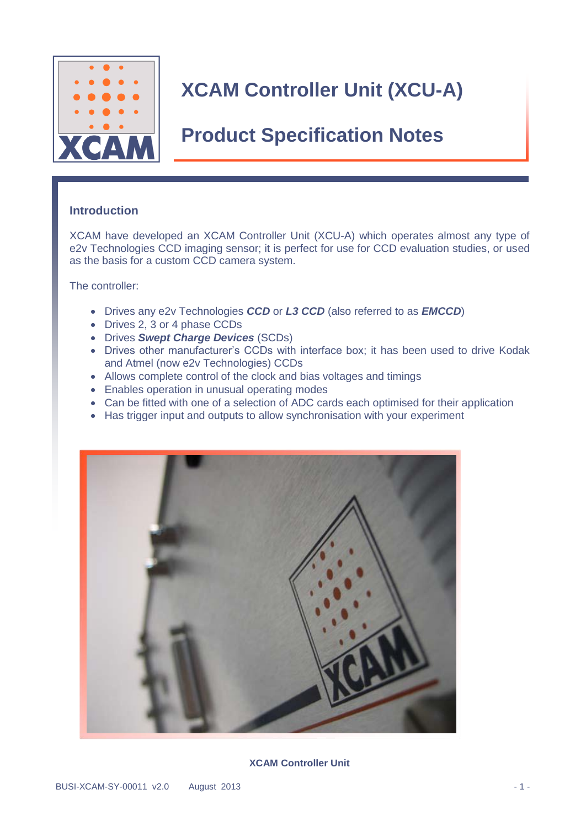

### **Product Specification Notes**

### **Introduction**

XCAM have developed an XCAM Controller Unit (XCU-A) which operates almost any type of e2v Technologies CCD imaging sensor; it is perfect for use for CCD evaluation studies, or used as the basis for a custom CCD camera system.

The controller:

- Drives any e2v Technologies *CCD* or *L3 CCD* (also referred to as *EMCCD*)
- Drives 2, 3 or 4 phase CCDs
- Drives *Swept Charge Devices* (SCDs)
- Drives other manufacturer's CCDs with interface box; it has been used to drive Kodak and Atmel (now e2v Technologies) CCDs
- Allows complete control of the clock and bias voltages and timings
- Enables operation in unusual operating modes
- Can be fitted with one of a selection of ADC cards each optimised for their application
- Has trigger input and outputs to allow synchronisation with your experiment



#### **XCAM Controller Unit**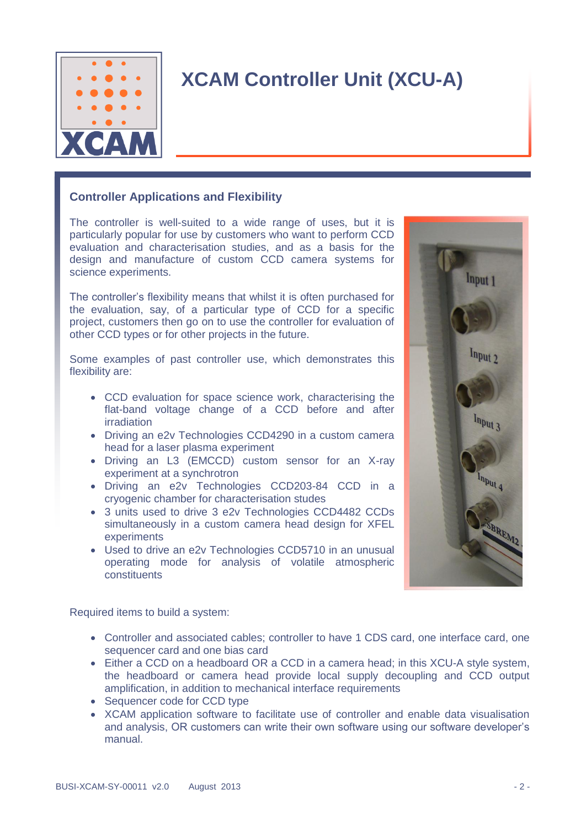

### **Controller Applications and Flexibility**

The controller is well-suited to a wide range of uses, but it is particularly popular for use by customers who want to perform CCD evaluation and characterisation studies, and as a basis for the design and manufacture of custom CCD camera systems for science experiments.

The controller's flexibility means that whilst it is often purchased for the evaluation, say, of a particular type of CCD for a specific project, customers then go on to use the controller for evaluation of other CCD types or for other projects in the future.

Some examples of past controller use, which demonstrates this flexibility are:

- CCD evaluation for space science work, characterising the flat-band voltage change of a CCD before and after irradiation
- Driving an e2v Technologies CCD4290 in a custom camera head for a laser plasma experiment
- Driving an L3 (EMCCD) custom sensor for an X-ray experiment at a synchrotron
- Driving an e2v Technologies CCD203-84 CCD in a cryogenic chamber for characterisation studes
- 3 units used to drive 3 e2v Technologies CCD4482 CCDs simultaneously in a custom camera head design for XFEL experiments
- Used to drive an e2v Technologies CCD5710 in an unusual operating mode for analysis of volatile atmospheric constituents



Required items to build a system:

- Controller and associated cables; controller to have 1 CDS card, one interface card, one sequencer card and one bias card
- Either a CCD on a headboard OR a CCD in a camera head; in this XCU-A style system, the headboard or camera head provide local supply decoupling and CCD output amplification, in addition to mechanical interface requirements
- Sequencer code for CCD type
- XCAM application software to facilitate use of controller and enable data visualisation and analysis, OR customers can write their own software using our software developer's manual.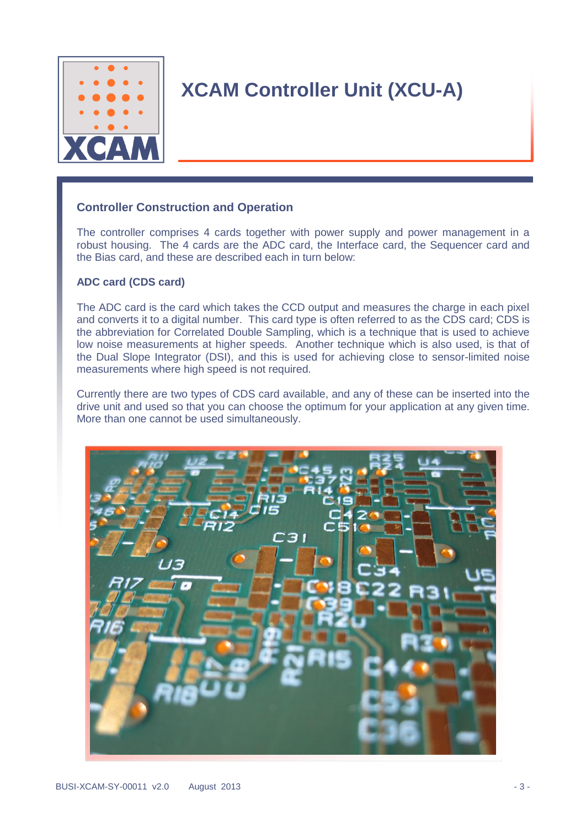

### **Controller Construction and Operation**

The controller comprises 4 cards together with power supply and power management in a robust housing. The 4 cards are the ADC card, the Interface card, the Sequencer card and the Bias card, and these are described each in turn below:

#### **ADC card (CDS card)**

The ADC card is the card which takes the CCD output and measures the charge in each pixel and converts it to a digital number. This card type is often referred to as the CDS card; CDS is the abbreviation for Correlated Double Sampling, which is a technique that is used to achieve low noise measurements at higher speeds. Another technique which is also used, is that of the Dual Slope Integrator (DSI), and this is used for achieving close to sensor-limited noise measurements where high speed is not required.

Currently there are two types of CDS card available, and any of these can be inserted into the drive unit and used so that you can choose the optimum for your application at any given time. More than one cannot be used simultaneously.

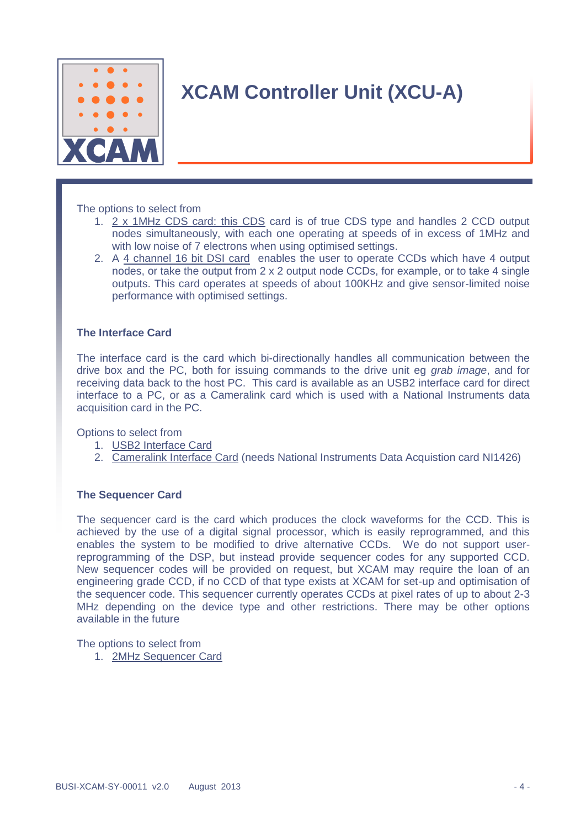

The options to select from

- 1. 2 x 1MHz CDS card: this CDS card is of true CDS type and handles 2 CCD output nodes simultaneously, with each one operating at speeds of in excess of 1MHz and with low noise of 7 electrons when using optimised settings.
- 2. A 4 channel 16 bit DSI card enables the user to operate CCDs which have 4 output nodes, or take the output from 2 x 2 output node CCDs, for example, or to take 4 single outputs. This card operates at speeds of about 100KHz and give sensor-limited noise performance with optimised settings.

#### **The Interface Card**

The interface card is the card which bi-directionally handles all communication between the drive box and the PC, both for issuing commands to the drive unit eg *grab image*, and for receiving data back to the host PC. This card is available as an USB2 interface card for direct interface to a PC, or as a Cameralink card which is used with a National Instruments data acquisition card in the PC.

Options to select from

- 1. USB2 Interface Card
- 2. Cameralink Interface Card (needs National Instruments Data Acquistion card NI1426)

#### **The Sequencer Card**

The sequencer card is the card which produces the clock waveforms for the CCD. This is achieved by the use of a digital signal processor, which is easily reprogrammed, and this enables the system to be modified to drive alternative CCDs. We do not support userreprogramming of the DSP, but instead provide sequencer codes for any supported CCD. New sequencer codes will be provided on request, but XCAM may require the loan of an engineering grade CCD, if no CCD of that type exists at XCAM for set-up and optimisation of the sequencer code. This sequencer currently operates CCDs at pixel rates of up to about 2-3 MHz depending on the device type and other restrictions. There may be other options available in the future

The options to select from

1. 2MHz Sequencer Card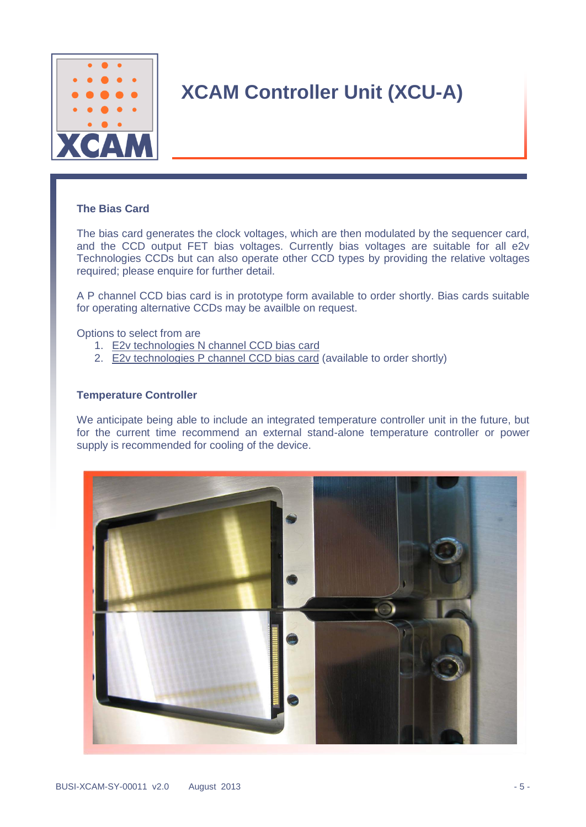

#### **The Bias Card**

The bias card generates the clock voltages, which are then modulated by the sequencer card, and the CCD output FET bias voltages. Currently bias voltages are suitable for all e2v Technologies CCDs but can also operate other CCD types by providing the relative voltages required; please enquire for further detail.

A P channel CCD bias card is in prototype form available to order shortly. Bias cards suitable for operating alternative CCDs may be availble on request.

Options to select from are

- 1. E2v technologies N channel CCD bias card
- 2. E2v technologies P channel CCD bias card (available to order shortly)

#### **Temperature Controller**

We anticipate being able to include an integrated temperature controller unit in the future, but for the current time recommend an external stand-alone temperature controller or power supply is recommended for cooling of the device.

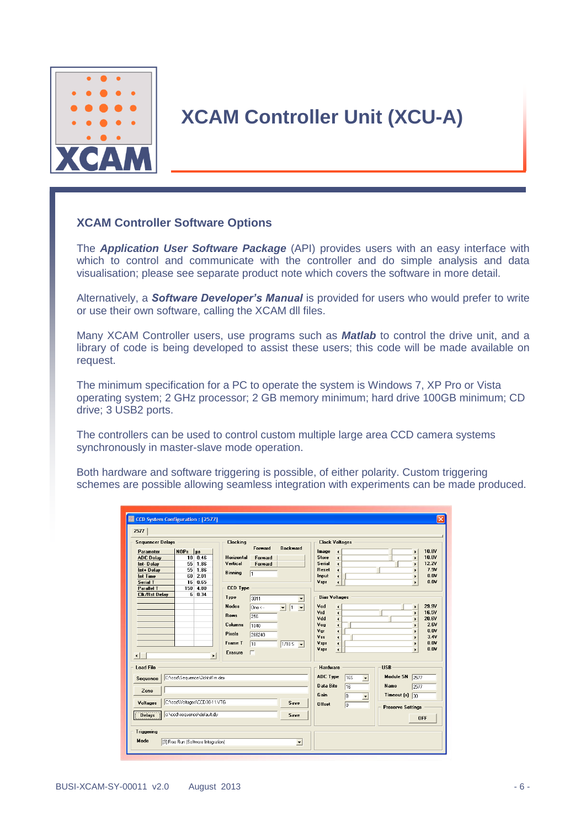

### **XCAM Controller Software Options**

The *Application User Software Package* (API) provides users with an easy interface with which to control and communicate with the controller and do simple analysis and data visualisation; please see separate product note which covers the software in more detail.

Alternatively, a *Software Developer's Manual* is provided for users who would prefer to write or use their own software, calling the XCAM dll files.

Many XCAM Controller users, use programs such as *Matlab* to control the drive unit, and a library of code is being developed to assist these users; this code will be made available on request.

The minimum specification for a PC to operate the system is Windows 7, XP Pro or Vista operating system; 2 GHz processor; 2 GB memory minimum; hard drive 100GB minimum; CD drive; 3 USB2 ports.

The controllers can be used to control custom multiple large area CCD camera systems synchronously in master-slave mode operation.

Both hardware and software triggering is possible, of either polarity. Custom triggering schemes are possible allowing seamless integration with experiments can be made produced.

| <b>ED</b> CCD System Configuration: [2577]                                                                                                                                                                                                                                                                                               |                                                                                                                                                                                                                                                                                                                                                                         | $\overline{\mathsf{x}}$                                                                                                                                                                                                                                                                                                                                                                                                                                                                                                                                                                                                                                                                                                                                                                                                                                                                                                                                                      |
|------------------------------------------------------------------------------------------------------------------------------------------------------------------------------------------------------------------------------------------------------------------------------------------------------------------------------------------|-------------------------------------------------------------------------------------------------------------------------------------------------------------------------------------------------------------------------------------------------------------------------------------------------------------------------------------------------------------------------|------------------------------------------------------------------------------------------------------------------------------------------------------------------------------------------------------------------------------------------------------------------------------------------------------------------------------------------------------------------------------------------------------------------------------------------------------------------------------------------------------------------------------------------------------------------------------------------------------------------------------------------------------------------------------------------------------------------------------------------------------------------------------------------------------------------------------------------------------------------------------------------------------------------------------------------------------------------------------|
| 2577<br><b>Sequencer Delays</b><br>$NOPs$   $\mu s$<br>Parameter<br><b>ADC Delay</b><br>0.46<br>10 <sup>1</sup><br>55<br>1.86<br>Int-Delay<br>1.86<br>55<br>Int+ Delay<br>2.01<br><b>Int Time</b><br>60<br>16 0.65<br><b>Serial T</b><br>4.80<br><b>Parallel T</b><br>150<br><b>Clk/Rst Delay</b><br>6 0.34<br>٠<br>$\blacktriangleleft$ | <b>Clocking</b><br><b>Backward</b><br>Forward<br><b>Horizontal</b><br>Forward<br>Vertical<br><b>Forward</b><br>Binning<br>$\sqrt{1}$<br><b>CCD Type</b><br>Type<br>3011<br><b>Nodes</b><br>$\sqrt{1}$<br>One <<br>$\vert \cdot \vert$<br><b>Rows</b><br>256<br>Columns<br>1040<br><b>Pixels</b><br>266240<br><b>Frame T</b><br>10<br>$1/10S - 1$<br><b>Erasure</b><br>г | <b>Clock Voltages</b><br>10.8V<br>Image<br>$\blacktriangleleft$<br>$\blacktriangleright$<br>10.8V<br><b>Store</b><br>$\blacktriangleleft$<br>$\blacktriangleright$<br><b>Serial</b><br>12.2V<br>$\blacksquare$<br>$\blacktriangleright$<br><b>Reset</b><br>7.9V<br>$\blacktriangleleft$<br>$\blacktriangleright$<br>0.01<br>Input<br>$\blacktriangleleft$<br>$\blacktriangleright$<br>0.0V<br>Vspr<br>$\overline{\bullet}$<br>$\blacktriangleright$<br><b>Bias Voltages</b><br>29.9V<br>Vod<br>$\blacktriangleleft$<br>$\blacktriangleright$<br>$\overline{\bullet}$<br>16.5V<br>Vrd<br>$\mathbf{r}$<br>$\overline{\bullet}$<br>Vdd<br>20.6V<br>$\ddot{\phantom{1}}$<br>Vog<br>$\overline{\phantom{a}}$<br>2.6V<br>$\mathbf{r}$<br>Var<br>0.0V<br>$\blacktriangleleft$<br>$\blacktriangleright$<br>Vss<br>3.4V<br>$\overline{\bullet}$<br>$\blacktriangleright$<br>0.0V<br>Vspr<br>$\overline{\phantom{a}}$<br>$\mathbf{r}$<br>0.0<br>Vspr<br>$\blacksquare$<br>$\mathbf{r}$ |
| <b>Load File</b><br>C:\ccd\Sequence\2chtst1m.dex<br>Sequence<br>Zone.<br>C:\ccd\Voltages\CCD30-11.VTG<br>Voltages<br>c:\ccd\sequence\default.dly<br><b>Delays</b><br><b>Triggering</b><br>Mode<br>[3] Free Run (Software Integration)                                                                                                    | Save<br>Save<br>$\blacktriangledown$                                                                                                                                                                                                                                                                                                                                    | <b>USB</b><br>Hardware<br>ADC Type<br><b>Module SN</b><br><b>16S</b><br>2577<br>$\overline{\phantom{a}}$<br><b>Data Bits</b><br><b>Name</b><br>2577<br>16<br>Gain<br>Timeout $[s]$ 30<br>B<br>$\blacktriangledown$<br><b>Offset</b><br>$\sqrt{a}$<br><b>Preserve Settings</b><br><b>OFF</b>                                                                                                                                                                                                                                                                                                                                                                                                                                                                                                                                                                                                                                                                                  |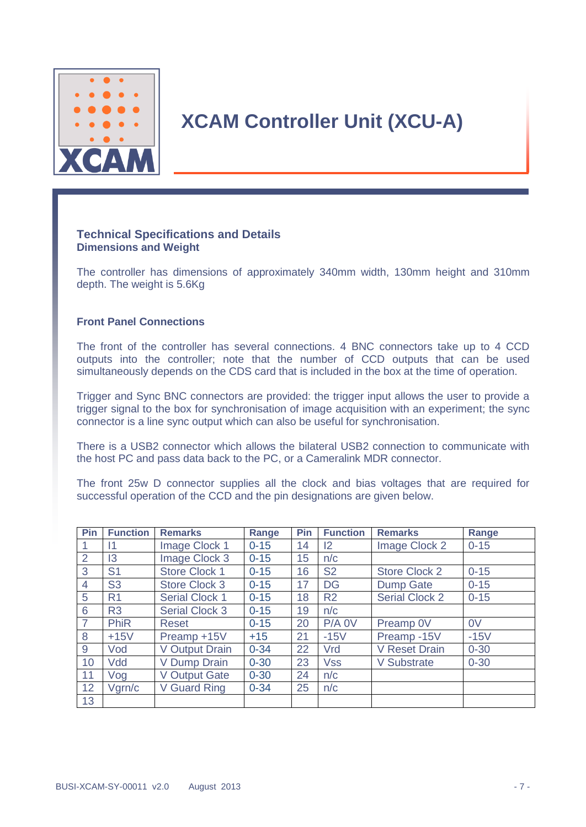

#### **Technical Specifications and Details Dimensions and Weight**

The controller has dimensions of approximately 340mm width, 130mm height and 310mm depth. The weight is 5.6Kg

#### **Front Panel Connections**

The front of the controller has several connections. 4 BNC connectors take up to 4 CCD outputs into the controller; note that the number of CCD outputs that can be used simultaneously depends on the CDS card that is included in the box at the time of operation.

Trigger and Sync BNC connectors are provided: the trigger input allows the user to provide a trigger signal to the box for synchronisation of image acquisition with an experiment; the sync connector is a line sync output which can also be useful for synchronisation.

There is a USB2 connector which allows the bilateral USB2 connection to communicate with the host PC and pass data back to the PC, or a Cameralink MDR connector.

The front 25w D connector supplies all the clock and bias voltages that are required for successful operation of the CCD and the pin designations are given below.

| Pin            | <b>Function</b> | <b>Remarks</b>        | Range    | Pin | <b>Function</b> | <b>Remarks</b>        | Range          |
|----------------|-----------------|-----------------------|----------|-----|-----------------|-----------------------|----------------|
|                | 11              | Image Clock 1         | $0 - 15$ | 14  | $\mathsf{I2}$   | Image Clock 2         | $0 - 15$       |
| $\overline{2}$ | 3               | Image Clock 3         | $0 - 15$ | 15  | n/c             |                       |                |
| 3              | S <sub>1</sub>  | <b>Store Clock 1</b>  | $0 - 15$ | 16  | <b>S2</b>       | <b>Store Clock 2</b>  | $0 - 15$       |
| $\overline{4}$ | S <sub>3</sub>  | Store Clock 3         | $0 - 15$ | 17  | <b>DG</b>       | <b>Dump Gate</b>      | $0 - 15$       |
| 5              | R <sub>1</sub>  | <b>Serial Clock 1</b> | $0 - 15$ | 18  | R <sub>2</sub>  | <b>Serial Clock 2</b> | $0 - 15$       |
| 6              | R <sub>3</sub>  | <b>Serial Clock 3</b> | $0 - 15$ | 19  | n/c             |                       |                |
| $\overline{7}$ | <b>PhiR</b>     | <b>Reset</b>          | $0 - 15$ | 20  | $P/A$ OV        | Preamp 0V             | 0 <sub>V</sub> |
| 8              | $+15V$          | Preamp +15V           | $+15$    | 21  | $-15V$          | Preamp-15V            | $-15V$         |
| 9              | Vod             | V Output Drain        | $0 - 34$ | 22  | Vrd             | <b>V Reset Drain</b>  | $0 - 30$       |
| 10             | Vdd             | V Dump Drain          | $0 - 30$ | 23  | <b>Vss</b>      | <b>V Substrate</b>    | $0 - 30$       |
| 11             | Vog             | <b>V Output Gate</b>  | $0 - 30$ | 24  | n/c             |                       |                |
| 12             | Vgrn/c          | V Guard Ring          | $0 - 34$ | 25  | n/c             |                       |                |
| 13             |                 |                       |          |     |                 |                       |                |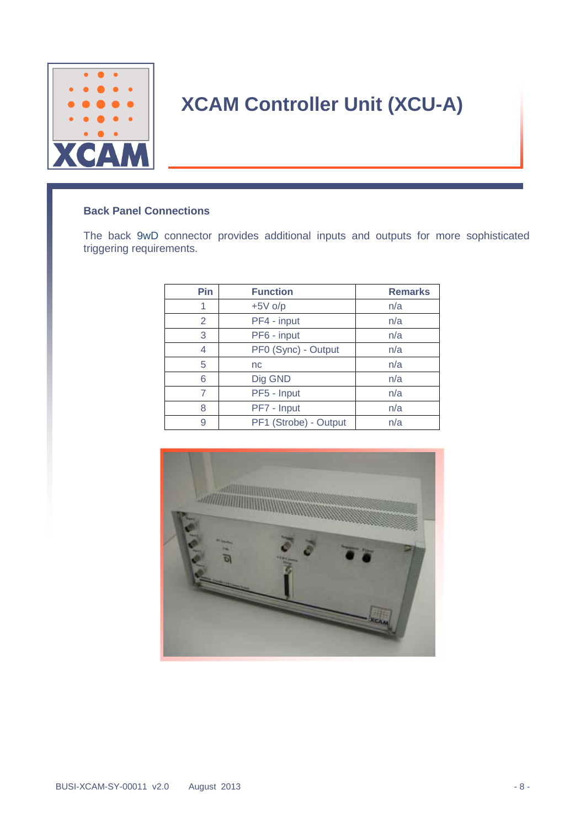

### **Back Panel Connections**

The back 9wD connector provides additional inputs and outputs for more sophisticated triggering requirements.

| Pin | <b>Function</b>       | <b>Remarks</b> |
|-----|-----------------------|----------------|
| 1   | $+5V$ o/p             | n/a            |
| 2   | PF4 - input           | n/a            |
| 3   | PF6 - input           | n/a            |
| 4   | PF0 (Sync) - Output   | n/a            |
| 5   | nc                    | n/a            |
| 6   | Dig GND               | n/a            |
| 7   | PF5 - Input           | n/a            |
| 8   | PF7 - Input           | n/a            |
| 9   | PF1 (Strobe) - Output | n/a            |

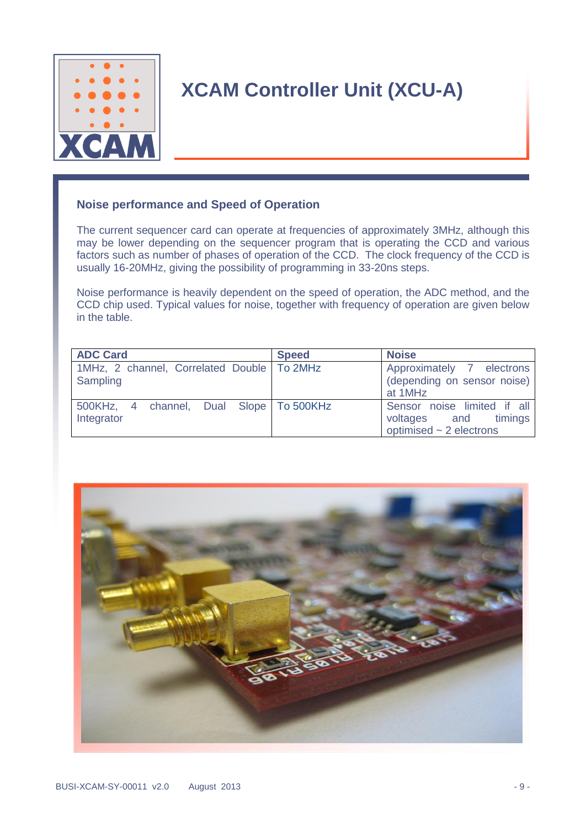

### **Noise performance and Speed of Operation**

The current sequencer card can operate at frequencies of approximately 3MHz, although this may be lower depending on the sequencer program that is operating the CCD and various factors such as number of phases of operation of the CCD. The clock frequency of the CCD is usually 16-20MHz, giving the possibility of programming in 33-20ns steps.

Noise performance is heavily dependent on the speed of operation, the ADC method, and the CCD chip used. Typical values for noise, together with frequency of operation are given below in the table.

| <b>ADC Card</b>                                          | <b>Speed</b> | <b>Noise</b>                                                                        |
|----------------------------------------------------------|--------------|-------------------------------------------------------------------------------------|
| 1MHz, 2 channel, Correlated Double   To 2MHz<br>Sampling |              | Approximately 7 electrons<br>(depending on sensor noise)<br>at 1MHz                 |
| 500KHz, 4 channel, Dual Slope To 500KHz<br>Integrator    |              | Sensor noise limited if all<br>voltages and timings<br>optimised $\sim$ 2 electrons |